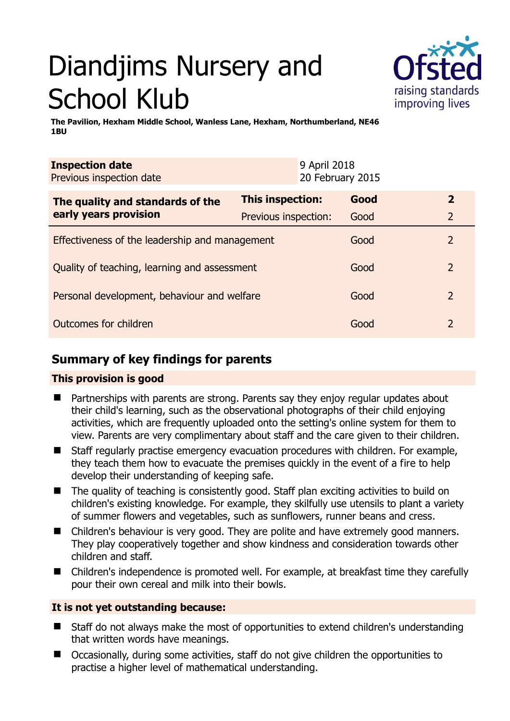# Diandjims Nursery and School Klub



**The Pavilion, Hexham Middle School, Wanless Lane, Hexham, Northumberland, NE46 1BU** 

| <b>Inspection date</b><br>Previous inspection date        |                      | 9 April 2018<br>20 February 2015 |      |                |
|-----------------------------------------------------------|----------------------|----------------------------------|------|----------------|
| The quality and standards of the<br>early years provision | This inspection:     |                                  | Good | $\mathbf{2}$   |
|                                                           | Previous inspection: |                                  | Good | 2              |
| Effectiveness of the leadership and management            |                      |                                  | Good | 2              |
| Quality of teaching, learning and assessment              |                      |                                  | Good | $\overline{2}$ |
| Personal development, behaviour and welfare               |                      |                                  | Good | 2              |
| Outcomes for children                                     |                      |                                  | Good | 2              |

# **Summary of key findings for parents**

## **This provision is good**

- Partnerships with parents are strong. Parents say they enjoy regular updates about their child's learning, such as the observational photographs of their child enjoying activities, which are frequently uploaded onto the setting's online system for them to view. Parents are very complimentary about staff and the care given to their children.
- Staff regularly practise emergency evacuation procedures with children. For example, they teach them how to evacuate the premises quickly in the event of a fire to help develop their understanding of keeping safe.
- The quality of teaching is consistently good. Staff plan exciting activities to build on children's existing knowledge. For example, they skilfully use utensils to plant a variety of summer flowers and vegetables, such as sunflowers, runner beans and cress.
- Children's behaviour is very good. They are polite and have extremely good manners. They play cooperatively together and show kindness and consideration towards other children and staff.
- Children's independence is promoted well. For example, at breakfast time they carefully pour their own cereal and milk into their bowls.

## **It is not yet outstanding because:**

- Staff do not always make the most of opportunities to extend children's understanding that written words have meanings.
- Occasionally, during some activities, staff do not give children the opportunities to practise a higher level of mathematical understanding.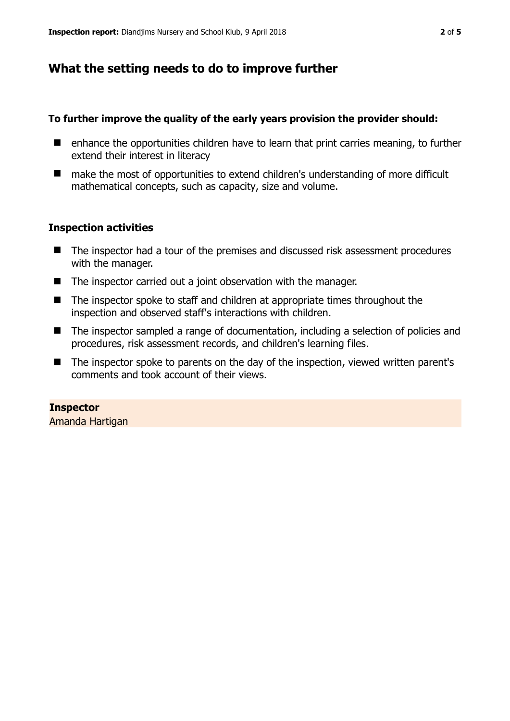# **What the setting needs to do to improve further**

## **To further improve the quality of the early years provision the provider should:**

- $\blacksquare$  enhance the opportunities children have to learn that print carries meaning, to further extend their interest in literacy
- make the most of opportunities to extend children's understanding of more difficult mathematical concepts, such as capacity, size and volume.

## **Inspection activities**

- The inspector had a tour of the premises and discussed risk assessment procedures with the manager.
- The inspector carried out a joint observation with the manager.
- The inspector spoke to staff and children at appropriate times throughout the inspection and observed staff's interactions with children.
- The inspector sampled a range of documentation, including a selection of policies and procedures, risk assessment records, and children's learning files.
- The inspector spoke to parents on the day of the inspection, viewed written parent's comments and took account of their views.

**Inspector**  Amanda Hartigan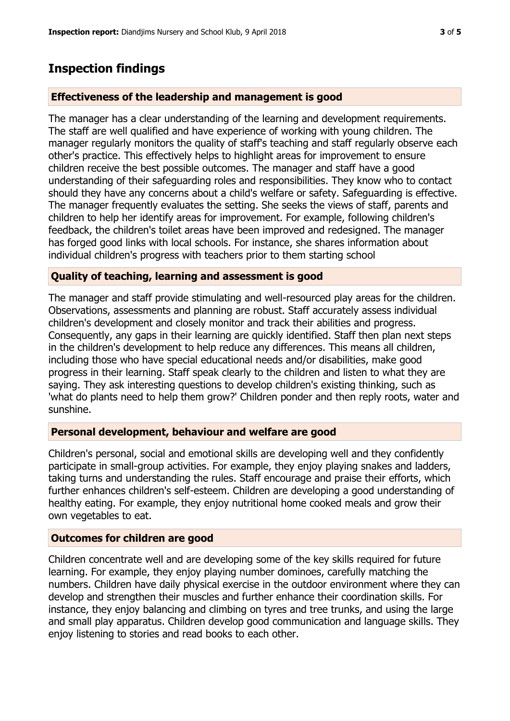## **Inspection findings**

### **Effectiveness of the leadership and management is good**

The manager has a clear understanding of the learning and development requirements. The staff are well qualified and have experience of working with young children. The manager regularly monitors the quality of staff's teaching and staff regularly observe each other's practice. This effectively helps to highlight areas for improvement to ensure children receive the best possible outcomes. The manager and staff have a good understanding of their safeguarding roles and responsibilities. They know who to contact should they have any concerns about a child's welfare or safety. Safeguarding is effective. The manager frequently evaluates the setting. She seeks the views of staff, parents and children to help her identify areas for improvement. For example, following children's feedback, the children's toilet areas have been improved and redesigned. The manager has forged good links with local schools. For instance, she shares information about individual children's progress with teachers prior to them starting school

#### **Quality of teaching, learning and assessment is good**

The manager and staff provide stimulating and well-resourced play areas for the children. Observations, assessments and planning are robust. Staff accurately assess individual children's development and closely monitor and track their abilities and progress. Consequently, any gaps in their learning are quickly identified. Staff then plan next steps in the children's development to help reduce any differences. This means all children, including those who have special educational needs and/or disabilities, make good progress in their learning. Staff speak clearly to the children and listen to what they are saying. They ask interesting questions to develop children's existing thinking, such as 'what do plants need to help them grow?' Children ponder and then reply roots, water and sunshine.

#### **Personal development, behaviour and welfare are good**

Children's personal, social and emotional skills are developing well and they confidently participate in small-group activities. For example, they enjoy playing snakes and ladders, taking turns and understanding the rules. Staff encourage and praise their efforts, which further enhances children's self-esteem. Children are developing a good understanding of healthy eating. For example, they enjoy nutritional home cooked meals and grow their own vegetables to eat.

### **Outcomes for children are good**

Children concentrate well and are developing some of the key skills required for future learning. For example, they enjoy playing number dominoes, carefully matching the numbers. Children have daily physical exercise in the outdoor environment where they can develop and strengthen their muscles and further enhance their coordination skills. For instance, they enjoy balancing and climbing on tyres and tree trunks, and using the large and small play apparatus. Children develop good communication and language skills. They enjoy listening to stories and read books to each other.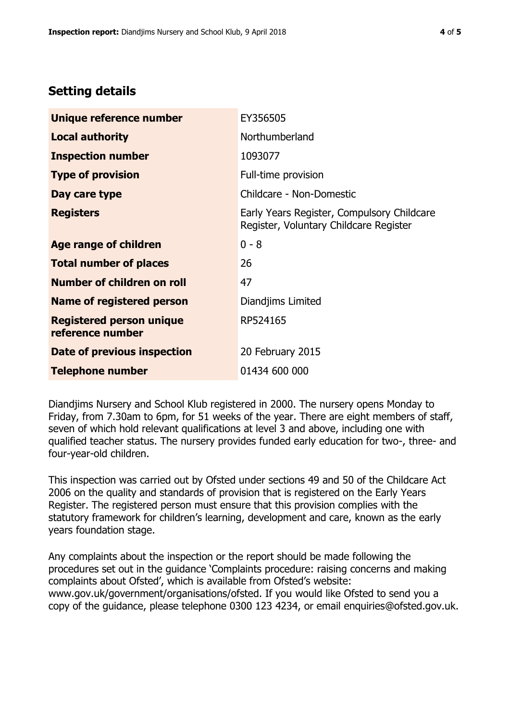## **Setting details**

| Unique reference number                             | EY356505                                                                             |  |
|-----------------------------------------------------|--------------------------------------------------------------------------------------|--|
| <b>Local authority</b>                              | Northumberland                                                                       |  |
| <b>Inspection number</b>                            | 1093077                                                                              |  |
| <b>Type of provision</b>                            | Full-time provision                                                                  |  |
| Day care type                                       | Childcare - Non-Domestic                                                             |  |
| <b>Registers</b>                                    | Early Years Register, Compulsory Childcare<br>Register, Voluntary Childcare Register |  |
| Age range of children                               | $0 - 8$                                                                              |  |
| <b>Total number of places</b>                       | 26                                                                                   |  |
| Number of children on roll                          | 47                                                                                   |  |
| Name of registered person                           | Diandjims Limited                                                                    |  |
| <b>Registered person unique</b><br>reference number | RP524165                                                                             |  |
| Date of previous inspection                         | 20 February 2015                                                                     |  |
| <b>Telephone number</b>                             | 01434 600 000                                                                        |  |

Diandjims Nursery and School Klub registered in 2000. The nursery opens Monday to Friday, from 7.30am to 6pm, for 51 weeks of the year. There are eight members of staff, seven of which hold relevant qualifications at level 3 and above, including one with qualified teacher status. The nursery provides funded early education for two-, three- and four-year-old children.

This inspection was carried out by Ofsted under sections 49 and 50 of the Childcare Act 2006 on the quality and standards of provision that is registered on the Early Years Register. The registered person must ensure that this provision complies with the statutory framework for children's learning, development and care, known as the early years foundation stage.

Any complaints about the inspection or the report should be made following the procedures set out in the guidance 'Complaints procedure: raising concerns and making complaints about Ofsted', which is available from Ofsted's website: www.gov.uk/government/organisations/ofsted. If you would like Ofsted to send you a copy of the guidance, please telephone 0300 123 4234, or email enquiries@ofsted.gov.uk.